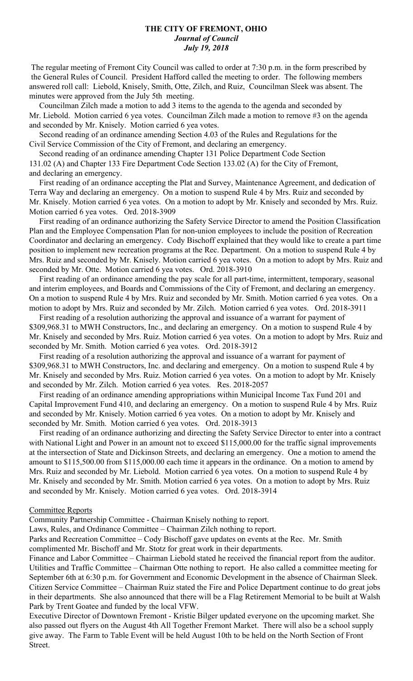## **THE CITY OF FREMONT, OHIO** *Journal of Council July 19, 2018*

 The regular meeting of Fremont City Council was called to order at 7:30 p.m. in the form prescribed by the General Rules of Council. President Hafford called the meeting to order. The following members answered roll call: Liebold, Knisely, Smith, Otte, Zilch, and Ruiz, Councilman Sleek was absent. The minutes were approved from the July 5th meeting.

 Councilman Zilch made a motion to add 3 items to the agenda to the agenda and seconded by Mr. Liebold. Motion carried 6 yea votes. Councilman Zilch made a motion to remove #3 on the agenda and seconded by Mr. Knisely. Motion carried 6 yea votes.

 Second reading of an ordinance amending Section 4.03 of the Rules and Regulations for the Civil Service Commission of the City of Fremont, and declaring an emergency.

 Second reading of an ordinance amending Chapter 131 Police Department Code Section 131.02 (A) and Chapter 133 Fire Department Code Section 133.02 (A) for the City of Fremont, and declaring an emergency.

 First reading of an ordinance accepting the Plat and Survey, Maintenance Agreement, and dedication of Terra Way and declaring an emergency. On a motion to suspend Rule 4 by Mrs. Ruiz and seconded by Mr. Knisely. Motion carried 6 yea votes. On a motion to adopt by Mr. Knisely and seconded by Mrs. Ruiz. Motion carried 6 yea votes. Ord. 2018-3909

 First reading of an ordinance authorizing the Safety Service Director to amend the Position Classification Plan and the Employee Compensation Plan for non-union employees to include the position of Recreation Coordinator and declaring an emergency. Cody Bischoff explained that they would like to create a part time position to implement new recreation programs at the Rec. Department. On a motion to suspend Rule 4 by Mrs. Ruiz and seconded by Mr. Knisely. Motion carried 6 yea votes. On a motion to adopt by Mrs. Ruiz and seconded by Mr. Otte. Motion carried 6 yea votes. Ord. 2018-3910

 First reading of an ordinance amending the pay scale for all part-time, intermittent, temporary, seasonal and interim employees, and Boards and Commissions of the City of Fremont, and declaring an emergency. On a motion to suspend Rule 4 by Mrs. Ruiz and seconded by Mr. Smith. Motion carried 6 yea votes. On a motion to adopt by Mrs. Ruiz and seconded by Mr. Zilch. Motion carried 6 yea votes. Ord. 2018-3911

 First reading of a resolution authorizing the approval and issuance of a warrant for payment of \$309,968.31 to MWH Constructors, Inc., and declaring an emergency. On a motion to suspend Rule 4 by Mr. Knisely and seconded by Mrs. Ruiz. Motion carried 6 yea votes. On a motion to adopt by Mrs. Ruiz and seconded by Mr. Smith. Motion carried 6 yea votes. Ord. 2018-3912

 First reading of a resolution authorizing the approval and issuance of a warrant for payment of \$309,968.31 to MWH Constructors, Inc. and declaring and emergency. On a motion to suspend Rule 4 by Mr. Knisely and seconded by Mrs. Ruiz. Motion carried 6 yea votes. On a motion to adopt by Mr. Knisely and seconded by Mr. Zilch. Motion carried 6 yea votes. Res. 2018-2057

 First reading of an ordinance amending appropriations within Municipal Income Tax Fund 201 and Capital Improvement Fund 410, and declaring an emergency. On a motion to suspend Rule 4 by Mrs. Ruiz and seconded by Mr. Knisely. Motion carried 6 yea votes. On a motion to adopt by Mr. Knisely and seconded by Mr. Smith. Motion carried 6 yea votes. Ord. 2018-3913

 First reading of an ordinance authorizing and directing the Safety Service Director to enter into a contract with National Light and Power in an amount not to exceed \$115,000.00 for the traffic signal improvements at the intersection of State and Dickinson Streets, and declaring an emergency. One a motion to amend the amount to \$115,500.00 from \$115,000.00 each time it appears in the ordinance. On a motion to amend by Mrs. Ruiz and seconded by Mr. Liebold. Motion carried 6 yea votes. On a motion to suspend Rule 4 by Mr. Knisely and seconded by Mr. Smith. Motion carried 6 yea votes. On a motion to adopt by Mrs. Ruiz and seconded by Mr. Knisely. Motion carried 6 yea votes. Ord. 2018-3914

#### Committee Reports

Community Partnership Committee - Chairman Knisely nothing to report.

Laws, Rules, and Ordinance Committee – Chairman Zilch nothing to report.

Parks and Recreation Committee – Cody Bischoff gave updates on events at the Rec. Mr. Smith complimented Mr. Bischoff and Mr. Stotz for great work in their departments.

Finance and Labor Committee – Chairman Liebold stated he received the financial report from the auditor. Utilities and Traffic Committee – Chairman Otte nothing to report. He also called a committee meeting for September 6th at 6:30 p.m. for Government and Economic Development in the absence of Chairman Sleek. Citizen Service Committee – Chairman Ruiz stated the Fire and Police Department continue to do great jobs in their departments. She also announced that there will be a Flag Retirement Memorial to be built at Walsh Park by Trent Goatee and funded by the local VFW.

Executive Director of Downtown Fremont - Kristie Bilger updated everyone on the upcoming market. She also passed out flyers on the August 4th All Together Fremont Market. There will also be a school supply give away. The Farm to Table Event will be held August 10th to be held on the North Section of Front Street.